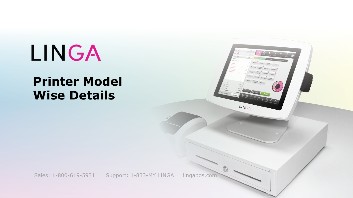## LINGA

## **Printer Model Wise Details**



Sales: 1-800-619-5931 Support: 1-833-MY LINGA lingapos.com